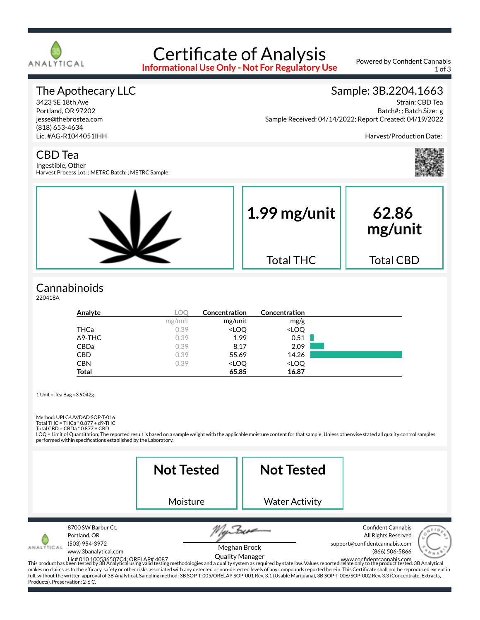

# Certificate of Analysis

**Informational Use Only - Not For Regulatory Use**

Powered by Confident Cannabis 1 of 3

#### The Apothecary LLC

3423 SE 18th Ave Portland, OR 97202 jesse@thebrostea.com (818) 653-4634 Lic. #AG-R1044051IHH

#### Sample: 3B.2204.1663

Strain: CBD Tea Batch#: ; Batch Size: g Sample Received: 04/14/2022; Report Created: 04/19/2022

Harvest/Production Date:



#### CBD Tea

Ingestible, Other Harvest Process Lot: ; METRC Batch: ; METRC Sample:



### **Cannabinoids**

220418A

| Analyte        | LOC     | Concentration                                            | Concentration                |  |
|----------------|---------|----------------------------------------------------------|------------------------------|--|
|                | mg/unit | mg/unit                                                  | mg/g                         |  |
| <b>THCa</b>    | 0.39    | <loq< th=""><th><loq< th=""><th></th></loq<></th></loq<> | <loq< th=""><th></th></loq<> |  |
| $\Delta$ 9-THC | 0.39    | 1.99                                                     | 0.51                         |  |
| CBDa           | 0.39    | 8.17                                                     | 2.09                         |  |
| CBD            | 0.39    | 55.69                                                    | 14.26                        |  |
| <b>CBN</b>     | 0.39    | <loq< th=""><th><loq< th=""><th></th></loq<></th></loq<> | <loq< th=""><th></th></loq<> |  |
| <b>Total</b>   |         | 65.85                                                    | 16.87                        |  |

1 Unit = Tea Bag =3.9042g

## Method: UPLC-UV/DAD SOP-T-016

Total THC = THCa \* 0.877 + d9-THC Total CBD = CBDa \* 0.877 + CBD

LOQ = Limit of Quantitation; The reported result is based on a sample weight with the applicable moisture content for that sample; Unless otherwise stated all quality control samples performed within specifications established by the Laboratory.

|                                                                                                                               | <b>Not Tested</b>                                                                                                                                                                                                                                                                                                                                                                                                                                                                                                                                                                                                               |                                        | <b>Not Tested</b>     |                                                                                                                                  |
|-------------------------------------------------------------------------------------------------------------------------------|---------------------------------------------------------------------------------------------------------------------------------------------------------------------------------------------------------------------------------------------------------------------------------------------------------------------------------------------------------------------------------------------------------------------------------------------------------------------------------------------------------------------------------------------------------------------------------------------------------------------------------|----------------------------------------|-----------------------|----------------------------------------------------------------------------------------------------------------------------------|
|                                                                                                                               | Moisture                                                                                                                                                                                                                                                                                                                                                                                                                                                                                                                                                                                                                        |                                        | <b>Water Activity</b> |                                                                                                                                  |
| 8700 SW Barbur Ct.<br>Portland, OR<br>(503) 954-3972<br>ANALÝTICAI<br>www.3banalytical.com<br>Products). Preservation: 2-6 C. | Lic# 010 100536507C4; ORELAP# 4087<br>This product has been tested by 3B Analytical using valid testing methodologies and a quality system as required by state law. Values reported relate only to the product tested. 3B Analyt<br>makes no claims as to the efficacy, safety or other risks associated with any detected or non-detected levels of any compounds reported herein. This Certificate shall not be reproduced except in<br>full, without the written approval of 3B Analytical. Sampling method: 3B SOP-T-005/ORELAP SOP-001 Rev. 3.1 (Usable Marijuana), 3B SOP-T-006/SOP-002 Rev. 3.3 (Concentrate, Extracts, | Meghan Brock<br><b>Quality Manager</b> |                       | <b>Confident Cannabis</b><br>All Rights Reserved<br>support@confidentcannabis.com<br>(866) 506-5866<br>www.confidentcannabis.com |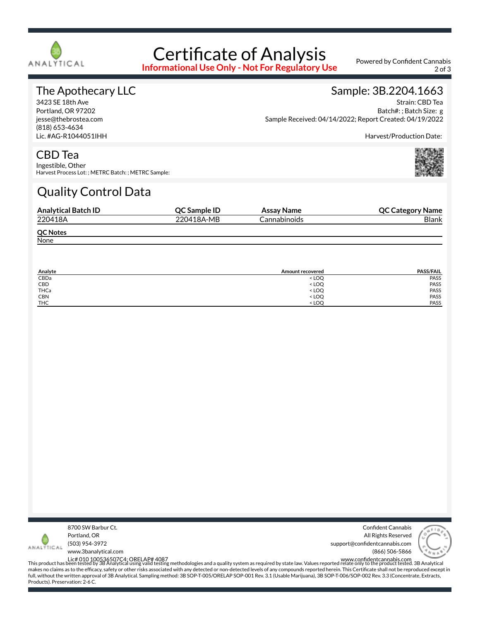

## Certificate of Analysis

**Informational Use Only - Not For Regulatory Use**

Powered by Confident Cannabis 2 of 3

#### The Apothecary LLC

3423 SE 18th Ave Portland, OR 97202 jesse@thebrostea.com (818) 653-4634 Lic. #AG-R1044051IHH

#### Sample: 3B.2204.1663

Strain: CBD Tea Batch#: ; Batch Size: g Sample Received: 04/14/2022; Report Created: 04/19/2022

Harvest/Production Date:

#### CBD Tea

Ingestible, Other Harvest Process Lot: ; METRC Batch: ; METRC Sample:

## Quality Control Data

| <b>Analytical Batch ID</b> | QC Sample ID | Assay Name   | <b>QC Category Name</b> |
|----------------------------|--------------|--------------|-------------------------|
| 220418A                    | 220418A-MB   | Cannabinoids | <b>Blank</b>            |
| <b>QC Notes</b>            |              |              |                         |
| None                       |              |              |                         |

| Analyte    | <b>Amount recovered</b>          | <b>PASS/FAIL</b> |
|------------|----------------------------------|------------------|
| CBDa       | <loq< td=""><td>PASS</td></loq<> | PASS             |
| CBD        | <loq< td=""><td>PASS</td></loq<> | PASS             |
| THCa       | < LOQ                            | PASS             |
| CBN        | <loq< td=""><td>PASS</td></loq<> | PASS             |
| <b>THC</b> | $<$ LOO                          | PASS             |



Confident Cannabis All Rights Reserved support@confidentcannabis.com (866) 506-5866



www.3banalytical.com

Lic# 010 100536507C4; ORELAP# 4087<br>This product has been tested by 3B Analytical using valid testing methodologies and a quality system as required by state law. Values reported relate only to the product tested. 3B Analyt makes no claims as to the efficacy, safety or other risks associated with any detected or non-detected levels of any compounds reported herein. This Certificate shall not be reproduced except in full, without the written approval of 3B Analytical. Sampling method: 3B SOP-T-005/ORELAP SOP-001 Rev. 3.1 (Usable Marijuana), 3B SOP-T-006/SOP-002 Rev. 3.3 (Concentrate, Extracts, Products). Preservation: 2-6 C.